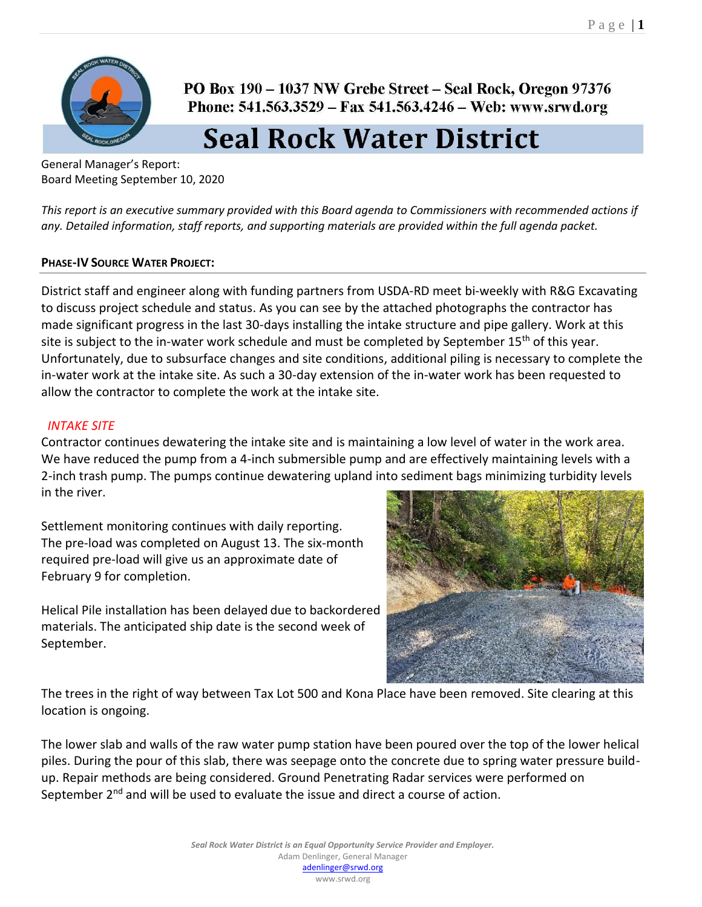

PO Box 190 – 1037 NW Grebe Street – Seal Rock, Oregon 97376 Phone: 541.563.3529 - Fax 541.563.4246 - Web: www.srwd.org

# **Seal Rock Water District**

General Manager's Report: Board Meeting September 10, 2020

*This report is an executive summary provided with this Board agenda to Commissioners with recommended actions if any. Detailed information, staff reports, and supporting materials are provided within the full agenda packet.* 

# **PHASE-IV SOURCE WATER PROJECT:**

District staff and engineer along with funding partners from USDA-RD meet bi-weekly with R&G Excavating to discuss project schedule and status. As you can see by the attached photographs the contractor has made significant progress in the last 30-days installing the intake structure and pipe gallery. Work at this site is subject to the in-water work schedule and must be completed by September 15<sup>th</sup> of this year. Unfortunately, due to subsurface changes and site conditions, additional piling is necessary to complete the in-water work at the intake site. As such a 30-day extension of the in-water work has been requested to allow the contractor to complete the work at the intake site.

# *INTAKE SITE*

Contractor continues dewatering the intake site and is maintaining a low level of water in the work area. We have reduced the pump from a 4-inch submersible pump and are effectively maintaining levels with a 2-inch trash pump. The pumps continue dewatering upland into sediment bags minimizing turbidity levels in the river.

Settlement monitoring continues with daily reporting. The pre-load was completed on August 13. The six-month required pre-load will give us an approximate date of February 9 for completion.

Helical Pile installation has been delayed due to backordered materials. The anticipated ship date is the second week of September.



The trees in the right of way between Tax Lot 500 and Kona Place have been removed. Site clearing at this location is ongoing.

The lower slab and walls of the raw water pump station have been poured over the top of the lower helical piles. During the pour of this slab, there was seepage onto the concrete due to spring water pressure buildup. Repair methods are being considered. Ground Penetrating Radar services were performed on September  $2<sup>nd</sup>$  and will be used to evaluate the issue and direct a course of action.

> *Seal Rock Water District is an Equal Opportunity Service Provider and Employer.*  Adam Denlinger, General Manager [adenlinger@srwd.org](mailto:adenlinger@srwd.org)

www.srwd.org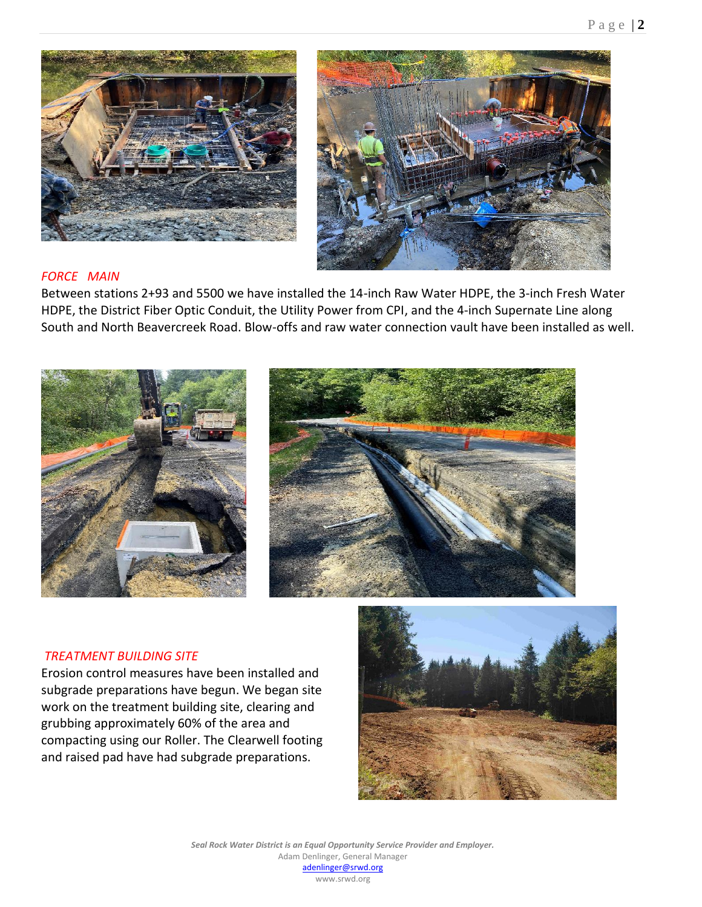



# *FORCE MAIN*

Between stations 2+93 and 5500 we have installed the 14-inch Raw Water HDPE, the 3-inch Fresh Water HDPE, the District Fiber Optic Conduit, the Utility Power from CPI, and the 4-inch Supernate Line along South and North Beavercreek Road. Blow-offs and raw water connection vault have been installed as well.





#### *TREATMENT BUILDING SITE*

Erosion control measures have been installed and subgrade preparations have begun. We began site work on the treatment building site, clearing and grubbing approximately 60% of the area and compacting using our Roller. The Clearwell footing and raised pad have had subgrade preparations.



*Seal Rock Water District is an Equal Opportunity Service Provider and Employer.*  Adam Denlinger, General Manager [adenlinger@srwd.org](mailto:adenlinger@srwd.org) www.srwd.org